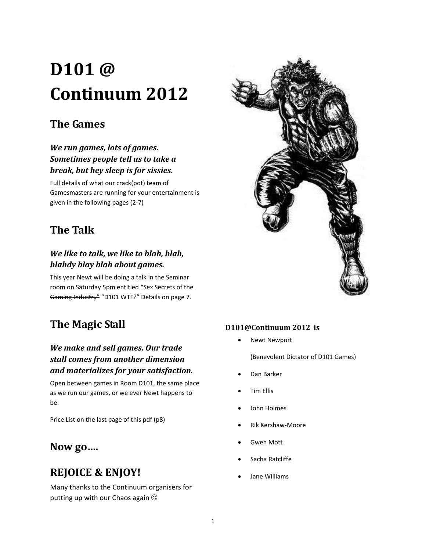# **D101 @ Continuum 2012**

## **The Games**

### *We run games, lots of games. Sometimes people tell us to take a break, but hey sleep is for sissies.*

Full details of what our crack(pot) team of Gamesmasters are running for your entertainment is given in the following pages (2-7)

## **The Talk**

### *We like to talk, we like to blah, blah, blahdy blay blah about games.*

This year Newt will be doing a talk in the Seminar room on Saturday 5pm entitled "Sex Secrets of the-Gaming Industry" "D101 WTF?" Details on page 7.

## **The Magic Stall**

### *We make and sell games. Our trade stall comes from another dimension and materializes for your satisfaction.*

Open between games in Room D101, the same place as we run our games, or we ever Newt happens to be.

Price List on the last page of this pdf (p8)

### **Now go….**

## **REJOICE & ENJOY!**

Many thanks to the Continuum organisers for putting up with our Chaos again



#### **D101@Continuum 2012 is**

Newt Newport

(Benevolent Dictator of D101 Games)

- Dan Barker
- Tim Ellis
- John Holmes
- Rik Kershaw-Moore
- Gwen Mott
- Sacha Ratcliffe
- Jane Williams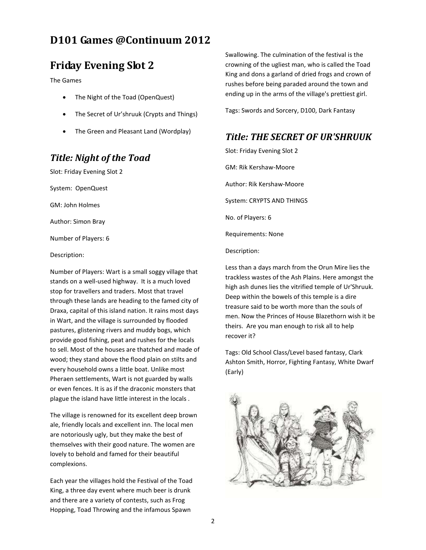### **Friday Evening Slot 2**

The Games

- The Night of the Toad (OpenQuest)
- The Secret of Ur'shruuk (Crypts and Things)
- The Green and Pleasant Land (Wordplay)

### *Title: Night of the Toad*

Slot: Friday Evening Slot 2

System: OpenQuest

GM: John Holmes

Author: Simon Bray

Number of Players: 6

Description:

Number of Players: Wart is a small soggy village that stands on a well-used highway. It is a much loved stop for travellers and traders. Most that travel through these lands are heading to the famed city of Draxa, capital of this island nation. It rains most days in Wart, and the village is surrounded by flooded pastures, glistening rivers and muddy bogs, which provide good fishing, peat and rushes for the locals to sell. Most of the houses are thatched and made of wood; they stand above the flood plain on stilts and every household owns a little boat. Unlike most Pheraen settlements, Wart is not guarded by walls or even fences. It is as if the draconic monsters that plague the island have little interest in the locals .

The village is renowned for its excellent deep brown ale, friendly locals and excellent inn. The local men are notoriously ugly, but they make the best of themselves with their good nature. The women are lovely to behold and famed for their beautiful complexions.

Each year the villages hold the Festival of the Toad King, a three day event where much beer is drunk and there are a variety of contests, such as Frog Hopping, Toad Throwing and the infamous Spawn

Swallowing. The culmination of the festival is the crowning of the ugliest man, who is called the Toad King and dons a garland of dried frogs and crown of rushes before being paraded around the town and ending up in the arms of the village's prettiest girl.

Tags: Swords and Sorcery, D100, Dark Fantasy

#### *Title: THE SECRET OF UR'SHRUUK*

Slot: Friday Evening Slot 2 GM: Rik Kershaw-Moore Author: Rik Kershaw-Moore System: CRYPTS AND THINGS No. of Players: 6 Requirements: None

Description:

Less than a days march from the Orun Mire lies the trackless wastes of the Ash Plains. Here amongst the high ash dunes lies the vitrified temple of Ur'Shruuk. Deep within the bowels of this temple is a dire treasure said to be worth more than the souls of men. Now the Princes of House Blazethorn wish it be theirs. Are you man enough to risk all to help recover it?

Tags: Old School Class/Level based fantasy, Clark Ashton Smith, Horror, Fighting Fantasy, White Dwarf (Early)

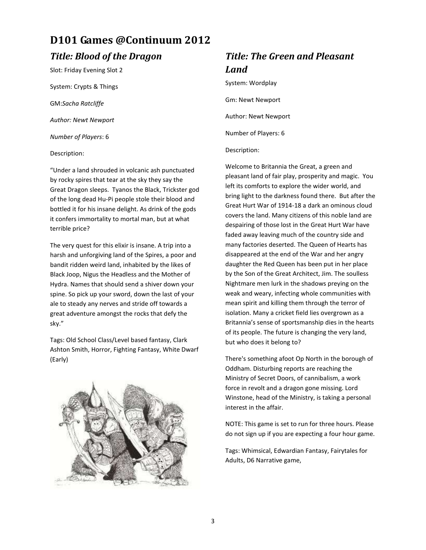### *Title: Blood of the Dragon*

Slot: Friday Evening Slot 2

System: Crypts & Things

GM:*Sacha Ratcliffe*

*Author: Newt Newport*

*Number of Players*: 6

Description:

"Under a land shrouded in volcanic ash punctuated by rocky spires that tear at the sky they say the Great Dragon sleeps. Tyanos the Black, Trickster god of the long dead Hu-Pi people stole their blood and bottled it for his insane delight. As drink of the gods it confers immortality to mortal man, but at what terrible price?

The very quest for this elixir is insane. A trip into a harsh and unforgiving land of the Spires, a poor and bandit ridden weird land, inhabited by the likes of Black Joop, Nigus the Headless and the Mother of Hydra. Names that should send a shiver down your spine. So pick up your sword, down the last of your ale to steady any nerves and stride off towards a great adventure amongst the rocks that defy the sky."

Tags: Old School Class/Level based fantasy, Clark Ashton Smith, Horror, Fighting Fantasy, White Dwarf (Early)



## *Title: The Green and Pleasant Land*

System: Wordplay

Gm: Newt Newport

Author: Newt Newport

Number of Players: 6

#### Description:

Welcome to Britannia the Great, a green and pleasant land of fair play, prosperity and magic. You left its comforts to explore the wider world, and bring light to the darkness found there. But after the Great Hurt War of 1914-18 a dark an ominous cloud covers the land. Many citizens of this noble land are despairing of those lost in the Great Hurt War have faded away leaving much of the country side and many factories deserted. The Queen of Hearts has disappeared at the end of the War and her angry daughter the Red Queen has been put in her place by the Son of the Great Architect, Jim. The soulless Nightmare men lurk in the shadows preying on the weak and weary, infecting whole communities with mean spirit and killing them through the terror of isolation. Many a cricket field lies overgrown as a Britannia's sense of sportsmanship dies in the hearts of its people. The future is changing the very land, but who does it belong to?

There's something afoot Op North in the borough of Oddham. Disturbing reports are reaching the Ministry of Secret Doors, of cannibalism, a work force in revolt and a dragon gone missing. Lord Winstone, head of the Ministry, is taking a personal interest in the affair.

NOTE: This game is set to run for three hours. Please do not sign up if you are expecting a four hour game.

Tags: Whimsical, Edwardian Fantasy, Fairytales for Adults, D6 Narrative game,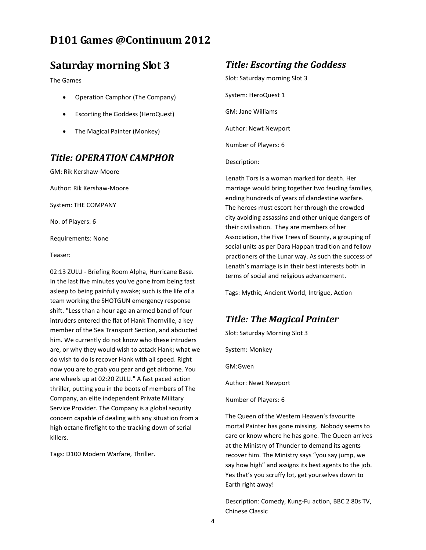### **Saturday morning Slot 3**

The Games

- Operation Camphor (The Company)
- Escorting the Goddess (HeroQuest)
- The Magical Painter (Monkey)

### *Title: OPERATION CAMPHOR*

GM: Rik Kershaw-Moore

Author: Rik Kershaw-Moore

System: THE COMPANY

No. of Players: 6

Requirements: None

Teaser:

02:13 ZULU - Briefing Room Alpha, Hurricane Base. In the last five minutes you've gone from being fast asleep to being painfully awake; such is the life of a team working the SHOTGUN emergency response shift. "Less than a hour ago an armed band of four intruders entered the flat of Hank Thornville, a key member of the Sea Transport Section, and abducted him. We currently do not know who these intruders are, or why they would wish to attack Hank; what we do wish to do is recover Hank with all speed. Right now you are to grab you gear and get airborne. You are wheels up at 02:20 ZULU." A fast paced action thriller, putting you in the boots of members of The Company, an elite independent Private Military Service Provider. The Company is a global security concern capable of dealing with any situation from a high octane firefight to the tracking down of serial killers.

Tags: D100 Modern Warfare, Thriller.

### *Title: Escorting the Goddess*

Slot: Saturday morning Slot 3 System: HeroQuest 1 GM: Jane Williams Author: Newt Newport Number of Players: 6

Description:

Lenath Tors is a woman marked for death. Her marriage would bring together two feuding families, ending hundreds of years of clandestine warfare. The heroes must escort her through the crowded city avoiding assassins and other unique dangers of their civilisation. They are members of her Association, the Five Trees of Bounty, a grouping of social units as per Dara Happan tradition and fellow practioners of the Lunar way. As such the success of Lenath's marriage is in their best interests both in terms of social and religious advancement.

Tags: Mythic, Ancient World, Intrigue, Action

### *Title: The Magical Painter*

Slot: Saturday Morning Slot 3

System: Monkey

GM:Gwen

Author: Newt Newport

Number of Players: 6

The Queen of the Western Heaven's favourite mortal Painter has gone missing. Nobody seems to care or know where he has gone. The Queen arrives at the Ministry of Thunder to demand its agents recover him. The Ministry says "you say jump, we say how high" and assigns its best agents to the job. Yes that's you scruffy lot, get yourselves down to Earth right away!

Description: Comedy, Kung-Fu action, BBC 2 80s TV, Chinese Classic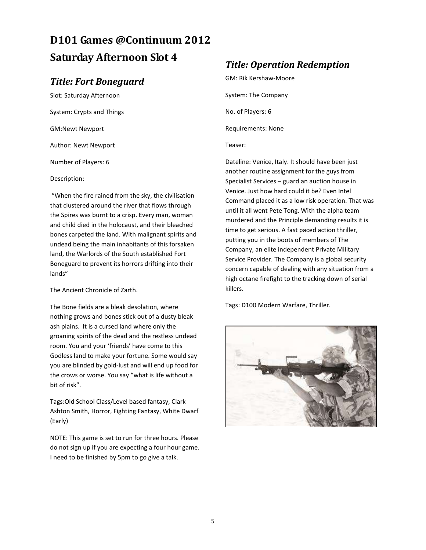## **D101 Games @Continuum 2012 Saturday Afternoon Slot 4**

### *Title: Fort Boneguard*

Slot: Saturday Afternoon System: Crypts and Things GM:Newt Newport Author: Newt Newport Number of Players: 6

Description:

"When the fire rained from the sky, the civilisation that clustered around the river that flows through the Spires was burnt to a crisp. Every man, woman and child died in the holocaust, and their bleached bones carpeted the land. With malignant spirits and undead being the main inhabitants of this forsaken land, the Warlords of the South established Fort Boneguard to prevent its horrors drifting into their lands"

The Ancient Chronicle of Zarth.

The Bone fields are a bleak desolation, where nothing grows and bones stick out of a dusty bleak ash plains. It is a cursed land where only the groaning spirits of the dead and the restless undead room. You and your 'friends' have come to this Godless land to make your fortune. Some would say you are blinded by gold-lust and will end up food for the crows or worse. You say "what is life without a bit of risk".

Tags:Old School Class/Level based fantasy, Clark Ashton Smith, Horror, Fighting Fantasy, White Dwarf (Early)

NOTE: This game is set to run for three hours. Please do not sign up if you are expecting a four hour game. I need to be finished by 5pm to go give a talk.

### *Title: Operation Redemption*

GM: Rik Kershaw-Moore System: The Company No. of Players: 6 Requirements: None Teaser:

Dateline: Venice, Italy. It should have been just another routine assignment for the guys from Specialist Services – guard an auction house in Venice. Just how hard could it be? Even Intel Command placed it as a low risk operation. That was until it all went Pete Tong. With the alpha team murdered and the Principle demanding results it is time to get serious. A fast paced action thriller, putting you in the boots of members of The Company, an elite independent Private Military Service Provider. The Company is a global security concern capable of dealing with any situation from a high octane firefight to the tracking down of serial killers.

Tags: D100 Modern Warfare, Thriller.

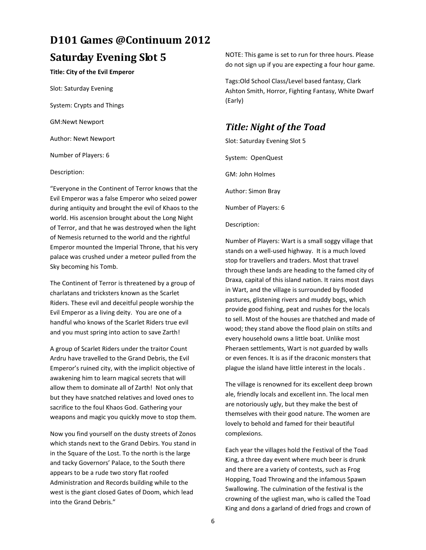## **D101 Games @Continuum 2012 Saturday Evening Slot 5**

#### **Title: City of the Evil Emperor**

Slot: Saturday Evening System: Crypts and Things GM:Newt Newport

Author: Newt Newport

Number of Players: 6

#### Description:

"Everyone in the Continent of Terror knows that the Evil Emperor was a false Emperor who seized power during antiquity and brought the evil of Khaos to the world. His ascension brought about the Long Night of Terror, and that he was destroyed when the light of Nemesis returned to the world and the rightful Emperor mounted the Imperial Throne, that his very palace was crushed under a meteor pulled from the Sky becoming his Tomb.

The Continent of Terror is threatened by a group of charlatans and tricksters known as the Scarlet Riders. These evil and deceitful people worship the Evil Emperor as a living deity. You are one of a handful who knows of the Scarlet Riders true evil and you must spring into action to save Zarth!

A group of Scarlet Riders under the traitor Count Ardru have travelled to the Grand Debris, the Evil Emperor's ruined city, with the implicit objective of awakening him to learn magical secrets that will allow them to dominate all of Zarth! Not only that but they have snatched relatives and loved ones to sacrifice to the foul Khaos God. Gathering your weapons and magic you quickly move to stop them.

Now you find yourself on the dusty streets of Zonos which stands next to the Grand Debirs. You stand in in the Square of the Lost. To the north is the large and tacky Governors' Palace, to the South there appears to be a rude two story flat roofed Administration and Records building while to the west is the giant closed Gates of Doom, which lead into the Grand Debris."

NOTE: This game is set to run for three hours. Please do not sign up if you are expecting a four hour game.

Tags:Old School Class/Level based fantasy, Clark Ashton Smith, Horror, Fighting Fantasy, White Dwarf (Early)

### *Title: Night of the Toad*

Slot: Saturday Evening Slot 5 System: OpenQuest GM: John Holmes Author: Simon Bray Number of Players: 6

#### Description:

Number of Players: Wart is a small soggy village that stands on a well-used highway. It is a much loved stop for travellers and traders. Most that travel through these lands are heading to the famed city of Draxa, capital of this island nation. It rains most days in Wart, and the village is surrounded by flooded pastures, glistening rivers and muddy bogs, which provide good fishing, peat and rushes for the locals to sell. Most of the houses are thatched and made of wood; they stand above the flood plain on stilts and every household owns a little boat. Unlike most Pheraen settlements, Wart is not guarded by walls or even fences. It is as if the draconic monsters that plague the island have little interest in the locals .

The village is renowned for its excellent deep brown ale, friendly locals and excellent inn. The local men are notoriously ugly, but they make the best of themselves with their good nature. The women are lovely to behold and famed for their beautiful complexions.

Each year the villages hold the Festival of the Toad King, a three day event where much beer is drunk and there are a variety of contests, such as Frog Hopping, Toad Throwing and the infamous Spawn Swallowing. The culmination of the festival is the crowning of the ugliest man, who is called the Toad King and dons a garland of dried frogs and crown of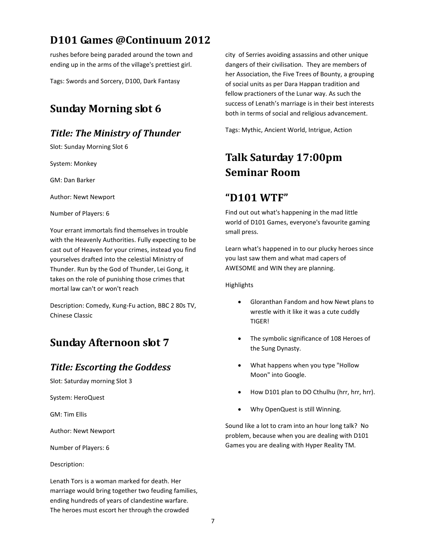rushes before being paraded around the town and ending up in the arms of the village's prettiest girl.

Tags: Swords and Sorcery, D100, Dark Fantasy

## **Sunday Morning slot 6**

### *Title: The Ministry of Thunder*

Slot: Sunday Morning Slot 6

System: Monkey

GM: Dan Barker

Author: Newt Newport

Number of Players: 6

Your errant immortals find themselves in trouble with the Heavenly Authorities. Fully expecting to be cast out of Heaven for your crimes, instead you find yourselves drafted into the celestial Ministry of Thunder. Run by the God of Thunder, Lei Gong, it takes on the role of punishing those crimes that mortal law can't or won't reach

Description: Comedy, Kung-Fu action, BBC 2 80s TV, Chinese Classic

## **Sunday Afternoon slot 7**

### *Title: Escorting the Goddess*

Slot: Saturday morning Slot 3

System: HeroQuest

GM: Tim Ellis

Author: Newt Newport

Number of Players: 6

Description:

Lenath Tors is a woman marked for death. Her marriage would bring together two feuding families, ending hundreds of years of clandestine warfare. The heroes must escort her through the crowded

city of Serries avoiding assassins and other unique dangers of their civilisation. They are members of her Association, the Five Trees of Bounty, a grouping of social units as per Dara Happan tradition and fellow practioners of the Lunar way. As such the success of Lenath's marriage is in their best interests both in terms of social and religious advancement.

Tags: Mythic, Ancient World, Intrigue, Action

## **Talk Saturday 17:00pm Seminar Room**

### **"D101 WTF"**

Find out out what's happening in the mad little world of D101 Games, everyone's favourite gaming small press.

Learn what's happened in to our plucky heroes since you last saw them and what mad capers of AWESOME and WIN they are planning.

**Highlights** 

- Gloranthan Fandom and how Newt plans to wrestle with it like it was a cute cuddly TIGER!
- The symbolic significance of 108 Heroes of the Sung Dynasty.
- What happens when you type "Hollow Moon" into Google.
- How D101 plan to DO Cthulhu (hrr, hrr, hrr).
- Why OpenQuest is still Winning.

Sound like a lot to cram into an hour long talk? No problem, because when you are dealing with D101 Games you are dealing with Hyper Reality TM.